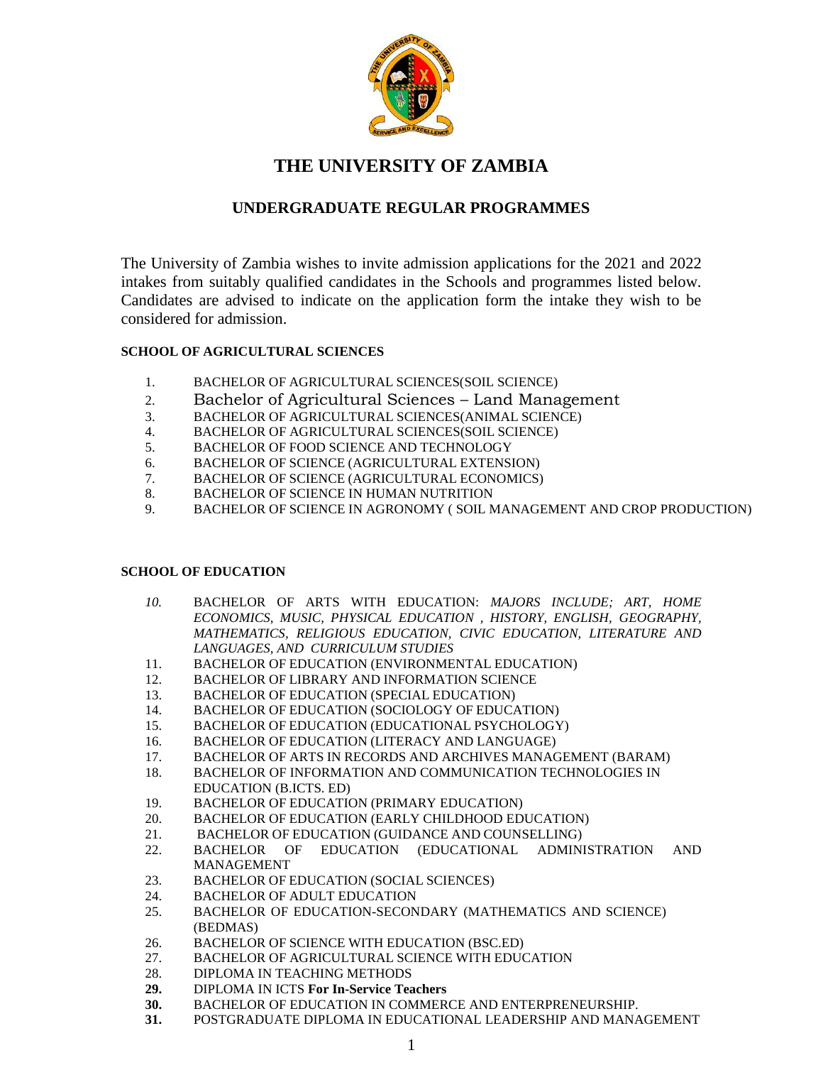

# **THE UNIVERSITY OF ZAMBIA**

## **UNDERGRADUATE REGULAR PROGRAMMES**

The University of Zambia wishes to invite admission applications for the 2021 and 2022 intakes from suitably qualified candidates in the Schools and programmes listed below. Candidates are advised to indicate on the application form the intake they wish to be considered for admission.

## **SCHOOL OF AGRICULTURAL SCIENCES**

- 1. BACHELOR OF AGRICULTURAL SCIENCES(SOIL SCIENCE)
- 2. Bachelor of Agricultural Sciences Land Management
- 3. BACHELOR OF AGRICULTURAL SCIENCES(ANIMAL SCIENCE)
- 4. BACHELOR OF AGRICULTURAL SCIENCES(SOIL SCIENCE)
- 5. BACHELOR OF FOOD SCIENCE AND TECHNOLOGY
- 6. BACHELOR OF SCIENCE (AGRICULTURAL EXTENSION)
- 7. BACHELOR OF SCIENCE (AGRICULTURAL ECONOMICS)
- 8. BACHELOR OF SCIENCE IN HUMAN NUTRITION
- 9. BACHELOR OF SCIENCE IN AGRONOMY ( SOIL MANAGEMENT AND CROP PRODUCTION)

## **SCHOOL OF EDUCATION**

- *10.* BACHELOR OF ARTS WITH EDUCATION: *MAJORS INCLUDE; ART, HOME ECONOMICS, MUSIC, PHYSICAL EDUCATION , HISTORY, ENGLISH, GEOGRAPHY, MATHEMATICS, RELIGIOUS EDUCATION, CIVIC EDUCATION, LITERATURE AND LANGUAGES, AND CURRICULUM STUDIES*
- 11. BACHELOR OF EDUCATION (ENVIRONMENTAL EDUCATION)
- 12. BACHELOR OF LIBRARY AND INFORMATION SCIENCE
- 13. BACHELOR OF EDUCATION (SPECIAL EDUCATION)
- 14. BACHELOR OF EDUCATION (SOCIOLOGY OF EDUCATION)
- 15. BACHELOR OF EDUCATION (EDUCATIONAL PSYCHOLOGY)
- 16. BACHELOR OF EDUCATION (LITERACY AND LANGUAGE)
- 17. BACHELOR OF ARTS IN RECORDS AND ARCHIVES MANAGEMENT (BARAM)
- 18. BACHELOR OF INFORMATION AND COMMUNICATION TECHNOLOGIES IN EDUCATION (B.ICTS. ED)
- 19. BACHELOR OF EDUCATION (PRIMARY EDUCATION)
- 20. BACHELOR OF EDUCATION (EARLY CHILDHOOD EDUCATION)
- 21. BACHELOR OF EDUCATION (GUIDANCE AND COUNSELLING)
- 22. BACHELOR OF EDUCATION (EDUCATIONAL ADMINISTRATION AND MANAGEMENT
- 23. BACHELOR OF EDUCATION (SOCIAL SCIENCES)
- 
- 24. BACHELOR OF ADULT EDUCATION<br>25. BACHELOR OF EDUCATION-SECON 25. BACHELOR OF EDUCATION-SECONDARY (MATHEMATICS AND SCIENCE) (BEDMAS)
- 26. BACHELOR OF SCIENCE WITH EDUCATION (BSC.ED)
- 27. BACHELOR OF AGRICULTURAL SCIENCE WITH EDUCATION
- 28. DIPLOMA IN TEACHING METHODS
- **29.** DIPLOMA IN ICTS **For In-Service Teachers**
- **30.** BACHELOR OF EDUCATION IN COMMERCE AND ENTERPRENEURSHIP.
- **31.** POSTGRADUATE DIPLOMA IN EDUCATIONAL LEADERSHIP AND MANAGEMENT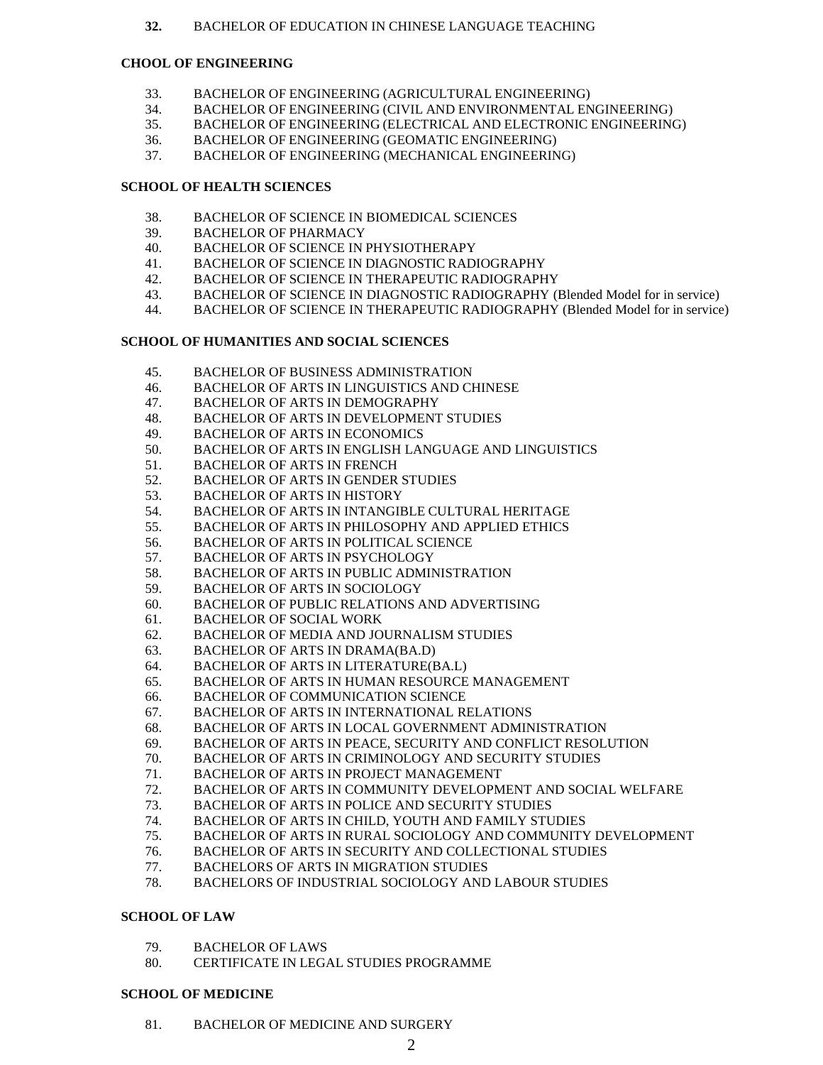### **32.** BACHELOR OF EDUCATION IN CHINESE LANGUAGE TEACHING

## **CHOOL OF ENGINEERING**

- 33. BACHELOR OF ENGINEERING (AGRICULTURAL ENGINEERING)
- 34. BACHELOR OF ENGINEERING (CIVIL AND ENVIRONMENTAL ENGINEERING)
- 35. BACHELOR OF ENGINEERING (ELECTRICAL AND ELECTRONIC ENGINEERING)
- 36. BACHELOR OF ENGINEERING (GEOMATIC ENGINEERING)
- 37. BACHELOR OF ENGINEERING (MECHANICAL ENGINEERING)

## **SCHOOL OF HEALTH SCIENCES**

- 38. BACHELOR OF SCIENCE IN BIOMEDICAL SCIENCES
- 39. BACHELOR OF PHARMACY
- 40. BACHELOR OF SCIENCE IN PHYSIOTHERAPY
- 41. BACHELOR OF SCIENCE IN DIAGNOSTIC RADIOGRAPHY
- 42. BACHELOR OF SCIENCE IN THERAPEUTIC RADIOGRAPHY
- 43. BACHELOR OF SCIENCE IN DIAGNOSTIC RADIOGRAPHY (Blended Model for in service)
- 44. BACHELOR OF SCIENCE IN THERAPEUTIC RADIOGRAPHY (Blended Model for in service)

## **SCHOOL OF HUMANITIES AND SOCIAL SCIENCES**

- 45. BACHELOR OF BUSINESS ADMINISTRATION
- 46. BACHELOR OF ARTS IN LINGUISTICS AND CHINESE
- 47. BACHELOR OF ARTS IN DEMOGRAPHY
- 48. BACHELOR OF ARTS IN DEVELOPMENT STUDIES
- 49. BACHELOR OF ARTS IN ECONOMICS
- 50. BACHELOR OF ARTS IN ENGLISH LANGUAGE AND LINGUISTICS
- 51. BACHELOR OF ARTS IN FRENCH
- 52. BACHELOR OF ARTS IN GENDER STUDIES
- 53. BACHELOR OF ARTS IN HISTORY
- 54. BACHELOR OF ARTS IN INTANGIBLE CULTURAL HERITAGE
- 55. BACHELOR OF ARTS IN PHILOSOPHY AND APPLIED ETHICS
- 56. BACHELOR OF ARTS IN POLITICAL SCIENCE
- 57. BACHELOR OF ARTS IN PSYCHOLOGY
- 58. BACHELOR OF ARTS IN PUBLIC ADMINISTRATION
- 59. BACHELOR OF ARTS IN SOCIOLOGY
- 60. BACHELOR OF PUBLIC RELATIONS AND ADVERTISING
- 61. BACHELOR OF SOCIAL WORK
- 62. BACHELOR OF MEDIA AND JOURNALISM STUDIES
- 63. BACHELOR OF ARTS IN DRAMA(BA.D)
- 64. BACHELOR OF ARTS IN LITERATURE(BA.L)
- 65. BACHELOR OF ARTS IN HUMAN RESOURCE MANAGEMENT
- 66. BACHELOR OF COMMUNICATION SCIENCE
- 67. BACHELOR OF ARTS IN INTERNATIONAL RELATIONS
- 68. BACHELOR OF ARTS IN LOCAL GOVERNMENT ADMINISTRATION
- 69. BACHELOR OF ARTS IN PEACE, SECURITY AND CONFLICT RESOLUTION
- 70. BACHELOR OF ARTS IN CRIMINOLOGY AND SECURITY STUDIES
- 71. BACHELOR OF ARTS IN PROJECT MANAGEMENT
- 72. BACHELOR OF ARTS IN COMMUNITY DEVELOPMENT AND SOCIAL WELFARE
- 73. BACHELOR OF ARTS IN POLICE AND SECURITY STUDIES
- 74. BACHELOR OF ARTS IN CHILD, YOUTH AND FAMILY STUDIES
- 75. BACHELOR OF ARTS IN RURAL SOCIOLOGY AND COMMUNITY DEVELOPMENT
- 76. BACHELOR OF ARTS IN SECURITY AND COLLECTIONAL STUDIES
- 77. BACHELORS OF ARTS IN MIGRATION STUDIES
- 78. BACHELORS OF INDUSTRIAL SOCIOLOGY AND LABOUR STUDIES

## **SCHOOL OF LAW**

- 79. BACHELOR OF LAWS
- 80. CERTIFICATE IN LEGAL STUDIES PROGRAMME

### **SCHOOL OF MEDICINE**

81. BACHELOR OF MEDICINE AND SURGERY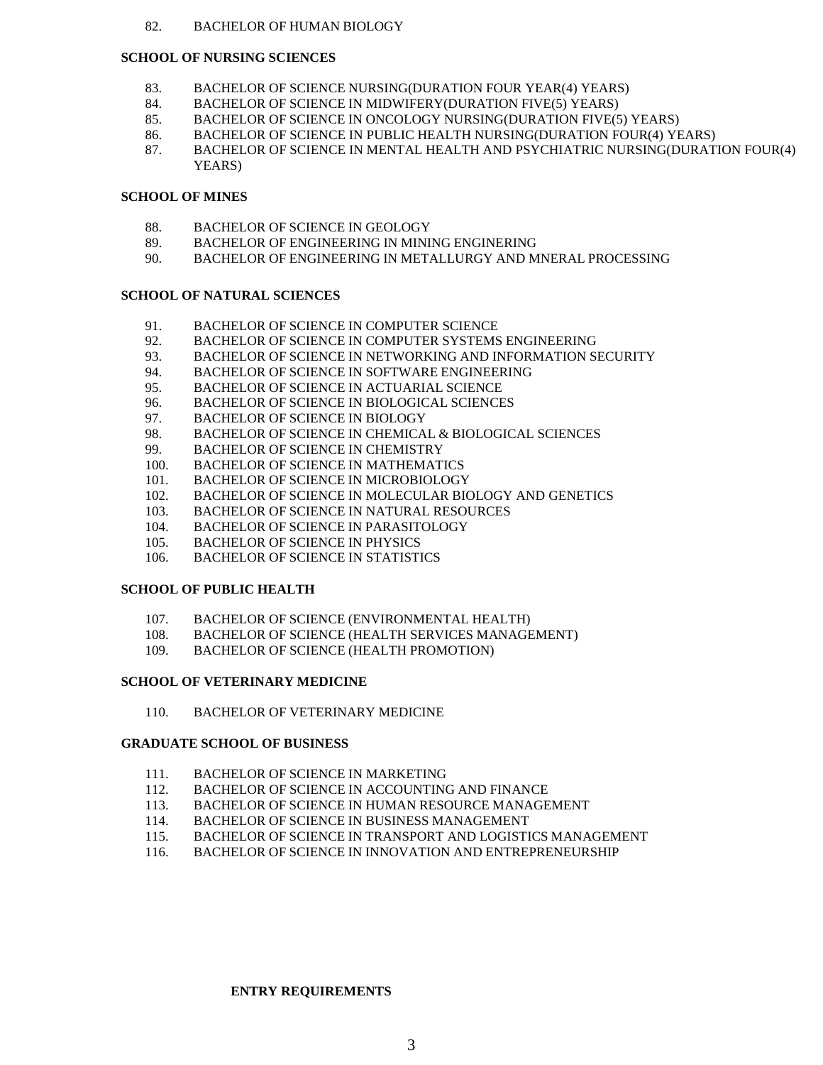#### 82. BACHELOR OF HUMAN BIOLOGY

#### **SCHOOL OF NURSING SCIENCES**

- 83. BACHELOR OF SCIENCE NURSING(DURATION FOUR YEAR(4) YEARS)
- 84. BACHELOR OF SCIENCE IN MIDWIFERY(DURATION FIVE(5) YEARS)
- 85. BACHELOR OF SCIENCE IN ONCOLOGY NURSING(DURATION FIVE(5) YEARS)
- 86. BACHELOR OF SCIENCE IN PUBLIC HEALTH NURSING(DURATION FOUR(4) YEARS)
- 87. BACHELOR OF SCIENCE IN MENTAL HEALTH AND PSYCHIATRIC NURSING(DURATION FOUR(4) YEARS)

## **SCHOOL OF MINES**

- 88. BACHELOR OF SCIENCE IN GEOLOGY
- 89. BACHELOR OF ENGINEERING IN MINING ENGINERING
- 90. BACHELOR OF ENGINEERING IN METALLURGY AND MNERAL PROCESSING

#### **SCHOOL OF NATURAL SCIENCES**

- 91. BACHELOR OF SCIENCE IN COMPUTER SCIENCE
- 92. BACHELOR OF SCIENCE IN COMPUTER SYSTEMS ENGINEERING
- 93. BACHELOR OF SCIENCE IN NETWORKING AND INFORMATION SECURITY
- 94. BACHELOR OF SCIENCE IN SOFTWARE ENGINEERING
- 95. BACHELOR OF SCIENCE IN ACTUARIAL SCIENCE
- 96. BACHELOR OF SCIENCE IN BIOLOGICAL SCIENCES
- 97. BACHELOR OF SCIENCE IN BIOLOGY
- 98. BACHELOR OF SCIENCE IN CHEMICAL & BIOLOGICAL SCIENCES
- 99. BACHELOR OF SCIENCE IN CHEMISTRY
- 100. BACHELOR OF SCIENCE IN MATHEMATICS
- 101. BACHELOR OF SCIENCE IN MICROBIOLOGY
- 102. BACHELOR OF SCIENCE IN MOLECULAR BIOLOGY AND GENETICS
- 103. BACHELOR OF SCIENCE IN NATURAL RESOURCES
- 104. BACHELOR OF SCIENCE IN PARASITOLOGY
- 105. BACHELOR OF SCIENCE IN PHYSICS
- 106. BACHELOR OF SCIENCE IN STATISTICS

#### **SCHOOL OF PUBLIC HEALTH**

- 107. BACHELOR OF SCIENCE (ENVIRONMENTAL HEALTH)
- 108. BACHELOR OF SCIENCE (HEALTH SERVICES MANAGEMENT)
- 109. BACHELOR OF SCIENCE (HEALTH PROMOTION)

#### **SCHOOL OF VETERINARY MEDICINE**

110. BACHELOR OF VETERINARY MEDICINE

### **GRADUATE SCHOOL OF BUSINESS**

- 111. BACHELOR OF SCIENCE IN MARKETING
- 112. BACHELOR OF SCIENCE IN ACCOUNTING AND FINANCE
- 113. BACHELOR OF SCIENCE IN HUMAN RESOURCE MANAGEMENT
- 114. BACHELOR OF SCIENCE IN BUSINESS MANAGEMENT
- 115. BACHELOR OF SCIENCE IN TRANSPORT AND LOGISTICS MANAGEMENT
- 116. BACHELOR OF SCIENCE IN INNOVATION AND ENTREPRENEURSHIP

### **ENTRY REQUIREMENTS**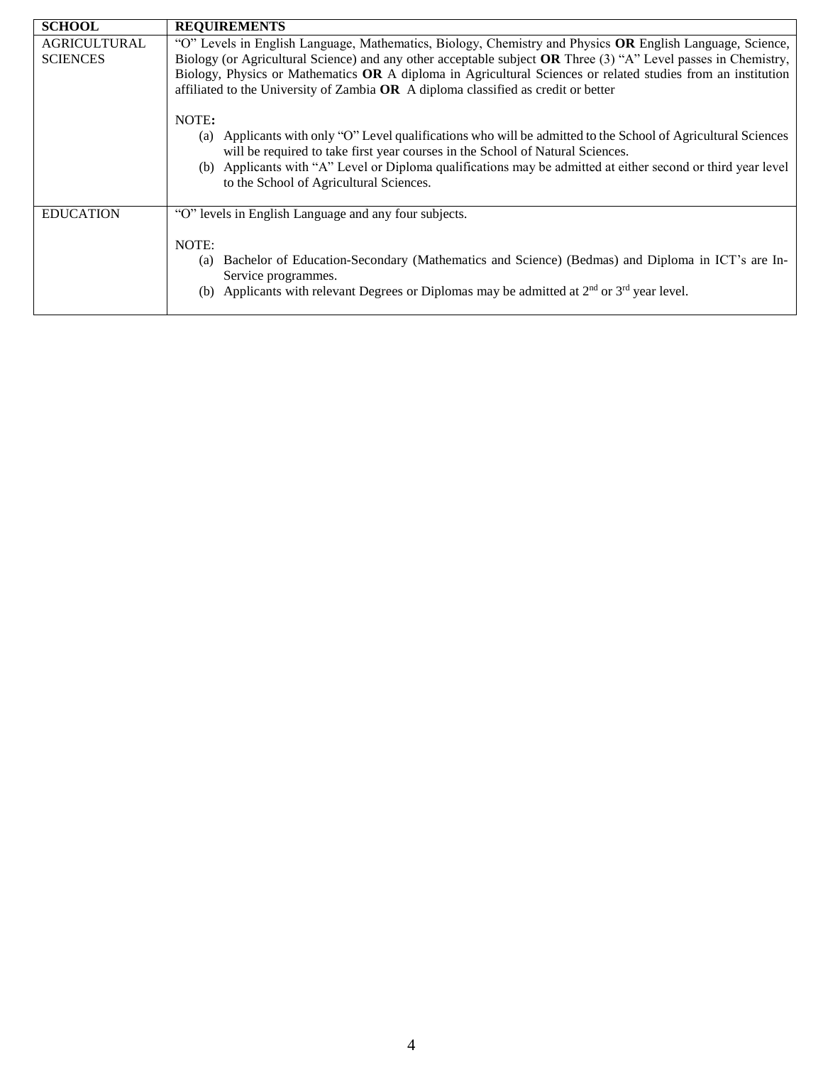| <b>SCHOOL</b>                          | <b>REQUIREMENTS</b>                                                                                                                                                                                                                                                                                                                                                                                                               |  |  |
|----------------------------------------|-----------------------------------------------------------------------------------------------------------------------------------------------------------------------------------------------------------------------------------------------------------------------------------------------------------------------------------------------------------------------------------------------------------------------------------|--|--|
| <b>AGRICULTURAL</b><br><b>SCIENCES</b> | "O" Levels in English Language, Mathematics, Biology, Chemistry and Physics OR English Language, Science,<br>Biology (or Agricultural Science) and any other acceptable subject OR Three (3) "A" Level passes in Chemistry,<br>Biology, Physics or Mathematics OR A diploma in Agricultural Sciences or related studies from an institution<br>affiliated to the University of Zambia OR A diploma classified as credit or better |  |  |
|                                        | NOTE:<br>Applicants with only "O" Level qualifications who will be admitted to the School of Agricultural Sciences<br>(a)<br>will be required to take first year courses in the School of Natural Sciences.<br>(b) Applicants with "A" Level or Diploma qualifications may be admitted at either second or third year level<br>to the School of Agricultural Sciences.                                                            |  |  |
| <b>EDUCATION</b>                       | "O" levels in English Language and any four subjects.<br>NOTE:<br>Bachelor of Education-Secondary (Mathematics and Science) (Bedmas) and Diploma in ICT's are In-<br>(a)<br>Service programmes.<br>Applicants with relevant Degrees or Diplomas may be admitted at $2nd$ or $3rd$ year level.<br>(b)                                                                                                                              |  |  |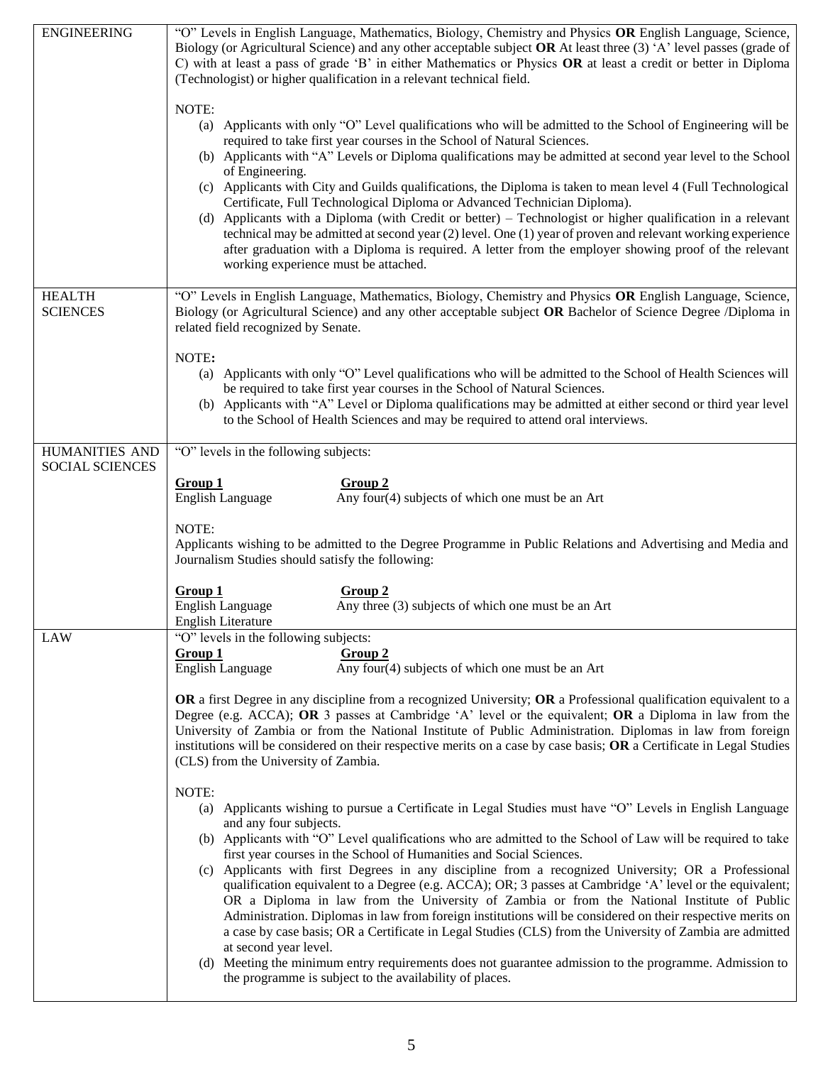| <b>ENGINEERING</b>               | "O" Levels in English Language, Mathematics, Biology, Chemistry and Physics OR English Language, Science,<br>Biology (or Agricultural Science) and any other acceptable subject OR At least three $(3)$ 'A' level passes (grade of<br>C) with at least a pass of grade 'B' in either Mathematics or Physics OR at least a credit or better in Diploma<br>(Technologist) or higher qualification in a relevant technical field.<br>NOTE:<br>(a) Applicants with only "O" Level qualifications who will be admitted to the School of Engineering will be<br>required to take first year courses in the School of Natural Sciences.<br>(b) Applicants with "A" Levels or Diploma qualifications may be admitted at second year level to the School<br>of Engineering.<br>(c) Applicants with City and Guilds qualifications, the Diploma is taken to mean level 4 (Full Technological<br>Certificate, Full Technological Diploma or Advanced Technician Diploma).<br>(d) Applicants with a Diploma (with Credit or better) – Technologist or higher qualification in a relevant<br>technical may be admitted at second year (2) level. One (1) year of proven and relevant working experience<br>after graduation with a Diploma is required. A letter from the employer showing proof of the relevant<br>working experience must be attached.                                                                                                                                                                                                                                                                                                                                                                                               |  |  |
|----------------------------------|-------------------------------------------------------------------------------------------------------------------------------------------------------------------------------------------------------------------------------------------------------------------------------------------------------------------------------------------------------------------------------------------------------------------------------------------------------------------------------------------------------------------------------------------------------------------------------------------------------------------------------------------------------------------------------------------------------------------------------------------------------------------------------------------------------------------------------------------------------------------------------------------------------------------------------------------------------------------------------------------------------------------------------------------------------------------------------------------------------------------------------------------------------------------------------------------------------------------------------------------------------------------------------------------------------------------------------------------------------------------------------------------------------------------------------------------------------------------------------------------------------------------------------------------------------------------------------------------------------------------------------------------------------------------------------------------------------------------------------------------|--|--|
| <b>HEALTH</b><br><b>SCIENCES</b> | "O" Levels in English Language, Mathematics, Biology, Chemistry and Physics OR English Language, Science,<br>Biology (or Agricultural Science) and any other acceptable subject OR Bachelor of Science Degree /Diploma in<br>related field recognized by Senate.                                                                                                                                                                                                                                                                                                                                                                                                                                                                                                                                                                                                                                                                                                                                                                                                                                                                                                                                                                                                                                                                                                                                                                                                                                                                                                                                                                                                                                                                          |  |  |
|                                  | NOTE:<br>(a) Applicants with only "O" Level qualifications who will be admitted to the School of Health Sciences will<br>be required to take first year courses in the School of Natural Sciences.<br>(b) Applicants with "A" Level or Diploma qualifications may be admitted at either second or third year level<br>to the School of Health Sciences and may be required to attend oral interviews.                                                                                                                                                                                                                                                                                                                                                                                                                                                                                                                                                                                                                                                                                                                                                                                                                                                                                                                                                                                                                                                                                                                                                                                                                                                                                                                                     |  |  |
| HUMANITIES AND                   | "O" levels in the following subjects:                                                                                                                                                                                                                                                                                                                                                                                                                                                                                                                                                                                                                                                                                                                                                                                                                                                                                                                                                                                                                                                                                                                                                                                                                                                                                                                                                                                                                                                                                                                                                                                                                                                                                                     |  |  |
| <b>SOCIAL SCIENCES</b>           | Group 2<br>Group 1<br><b>English Language</b><br>Any four(4) subjects of which one must be an Art<br>NOTE:<br>Applicants wishing to be admitted to the Degree Programme in Public Relations and Advertising and Media and<br>Journalism Studies should satisfy the following:                                                                                                                                                                                                                                                                                                                                                                                                                                                                                                                                                                                                                                                                                                                                                                                                                                                                                                                                                                                                                                                                                                                                                                                                                                                                                                                                                                                                                                                             |  |  |
|                                  | Group 1<br>Group 2<br><b>English Language</b><br>Any three (3) subjects of which one must be an Art<br><b>English Literature</b>                                                                                                                                                                                                                                                                                                                                                                                                                                                                                                                                                                                                                                                                                                                                                                                                                                                                                                                                                                                                                                                                                                                                                                                                                                                                                                                                                                                                                                                                                                                                                                                                          |  |  |
| <b>LAW</b>                       | "O" levels in the following subjects:<br>Group 1<br>Group 2<br><b>English Language</b><br>Any four(4) subjects of which one must be an Art<br>OR a first Degree in any discipline from a recognized University; OR a Professional qualification equivalent to a<br>Degree (e.g. ACCA); OR 3 passes at Cambridge 'A' level or the equivalent; OR a Diploma in law from the<br>University of Zambia or from the National Institute of Public Administration. Diplomas in law from foreign<br>institutions will be considered on their respective merits on a case by case basis; OR a Certificate in Legal Studies<br>(CLS) from the University of Zambia.<br>NOTE:<br>Applicants wishing to pursue a Certificate in Legal Studies must have "O" Levels in English Language<br>(a)<br>and any four subjects.<br>(b) Applicants with "O" Level qualifications who are admitted to the School of Law will be required to take<br>first year courses in the School of Humanities and Social Sciences.<br>(c) Applicants with first Degrees in any discipline from a recognized University; OR a Professional<br>qualification equivalent to a Degree (e.g. ACCA); OR; 3 passes at Cambridge 'A' level or the equivalent;<br>OR a Diploma in law from the University of Zambia or from the National Institute of Public<br>Administration. Diplomas in law from foreign institutions will be considered on their respective merits on<br>a case by case basis; OR a Certificate in Legal Studies (CLS) from the University of Zambia are admitted<br>at second year level.<br>(d) Meeting the minimum entry requirements does not guarantee admission to the programme. Admission to<br>the programme is subject to the availability of places. |  |  |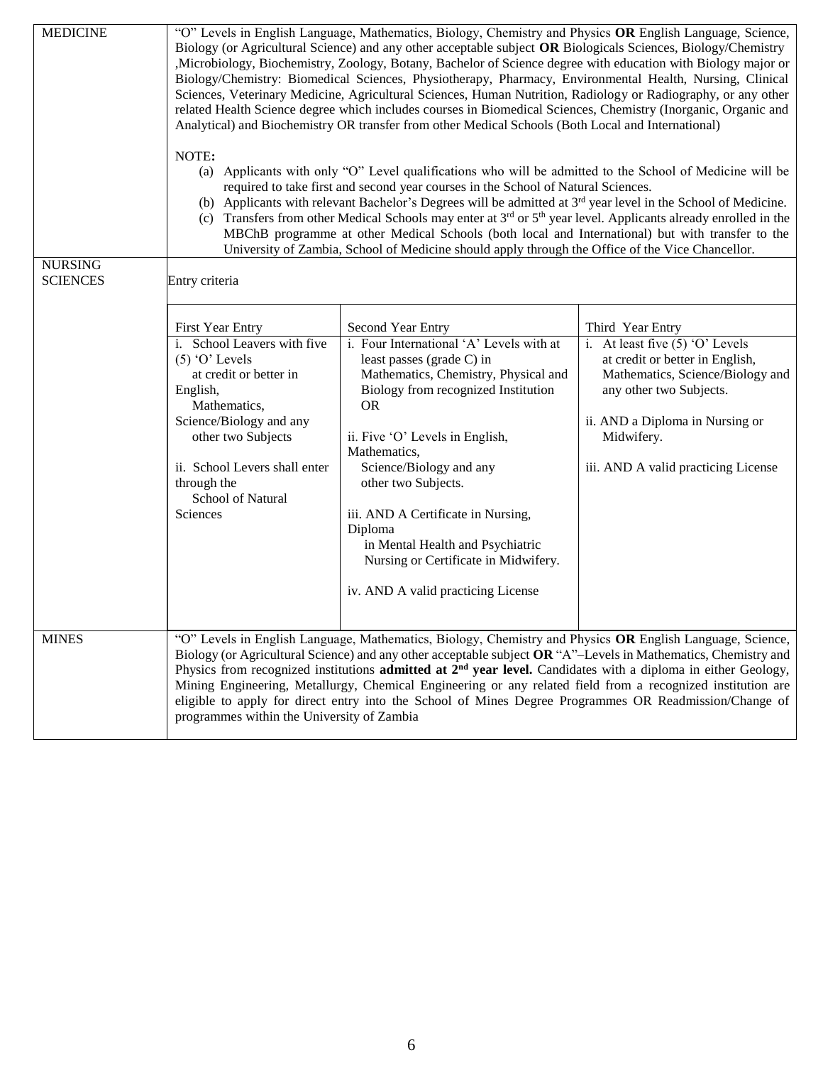| <b>MEDICINE</b><br><b>NURSING</b><br><b>SCIENCES</b> | "O" Levels in English Language, Mathematics, Biology, Chemistry and Physics OR English Language, Science,<br>Biology (or Agricultural Science) and any other acceptable subject OR Biologicals Sciences, Biology/Chemistry<br>,Microbiology, Biochemistry, Zoology, Botany, Bachelor of Science degree with education with Biology major or<br>Biology/Chemistry: Biomedical Sciences, Physiotherapy, Pharmacy, Environmental Health, Nursing, Clinical<br>Sciences, Veterinary Medicine, Agricultural Sciences, Human Nutrition, Radiology or Radiography, or any other<br>related Health Science degree which includes courses in Biomedical Sciences, Chemistry (Inorganic, Organic and<br>Analytical) and Biochemistry OR transfer from other Medical Schools (Both Local and International)<br>NOTE:<br>Applicants with only "O" Level qualifications who will be admitted to the School of Medicine will be<br>(a)<br>required to take first and second year courses in the School of Natural Sciences.<br>(b) Applicants with relevant Bachelor's Degrees will be admitted at 3 <sup>rd</sup> year level in the School of Medicine.<br>(c) Transfers from other Medical Schools may enter at $3^{rd}$ or $5^{th}$ year level. Applicants already enrolled in the<br>MBChB programme at other Medical Schools (both local and International) but with transfer to the<br>University of Zambia, School of Medicine should apply through the Office of the Vice Chancellor.<br>Entry criteria |                                                                                                                                                                                                                                                                                                                                                                                                                                                                                                                                                                                              |                                                                                                                                                                                                                                                 |  |
|------------------------------------------------------|---------------------------------------------------------------------------------------------------------------------------------------------------------------------------------------------------------------------------------------------------------------------------------------------------------------------------------------------------------------------------------------------------------------------------------------------------------------------------------------------------------------------------------------------------------------------------------------------------------------------------------------------------------------------------------------------------------------------------------------------------------------------------------------------------------------------------------------------------------------------------------------------------------------------------------------------------------------------------------------------------------------------------------------------------------------------------------------------------------------------------------------------------------------------------------------------------------------------------------------------------------------------------------------------------------------------------------------------------------------------------------------------------------------------------------------------------------------------------------------------------|----------------------------------------------------------------------------------------------------------------------------------------------------------------------------------------------------------------------------------------------------------------------------------------------------------------------------------------------------------------------------------------------------------------------------------------------------------------------------------------------------------------------------------------------------------------------------------------------|-------------------------------------------------------------------------------------------------------------------------------------------------------------------------------------------------------------------------------------------------|--|
|                                                      | First Year Entry<br>i. School Leavers with five<br>$(5)$ 'O' Levels<br>at credit or better in<br>English,<br>Mathematics,<br>Science/Biology and any<br>other two Subjects<br>ii. School Levers shall enter<br>through the<br>School of Natural<br>Sciences                                                                                                                                                                                                                                                                                                                                                                                                                                                                                                                                                                                                                                                                                                                                                                                                                                                                                                                                                                                                                                                                                                                                                                                                                                       | Second Year Entry<br>i. Four International 'A' Levels with at<br>least passes (grade C) in<br>Mathematics, Chemistry, Physical and<br>Biology from recognized Institution<br><b>OR</b><br>ii. Five 'O' Levels in English,<br>Mathematics,<br>Science/Biology and any<br>other two Subjects.<br>iii. AND A Certificate in Nursing,<br>Diploma<br>in Mental Health and Psychiatric<br>Nursing or Certificate in Midwifery.<br>iv. AND A valid practicing License                                                                                                                               | Third Year Entry<br>i. At least five $(5)$ 'O' Levels<br>at credit or better in English,<br>Mathematics, Science/Biology and<br>any other two Subjects.<br>ii. AND a Diploma in Nursing or<br>Midwifery.<br>iii. AND A valid practicing License |  |
| <b>MINES</b>                                         | programmes within the University of Zambia                                                                                                                                                                                                                                                                                                                                                                                                                                                                                                                                                                                                                                                                                                                                                                                                                                                                                                                                                                                                                                                                                                                                                                                                                                                                                                                                                                                                                                                        | "O" Levels in English Language, Mathematics, Biology, Chemistry and Physics OR English Language, Science,<br>Biology (or Agricultural Science) and any other acceptable subject OR "A"-Levels in Mathematics, Chemistry and<br>Physics from recognized institutions <b>admitted at <math>2^{nd}</math> year level.</b> Candidates with a diploma in either Geology,<br>Mining Engineering, Metallurgy, Chemical Engineering or any related field from a recognized institution are<br>eligible to apply for direct entry into the School of Mines Degree Programmes OR Readmission/Change of |                                                                                                                                                                                                                                                 |  |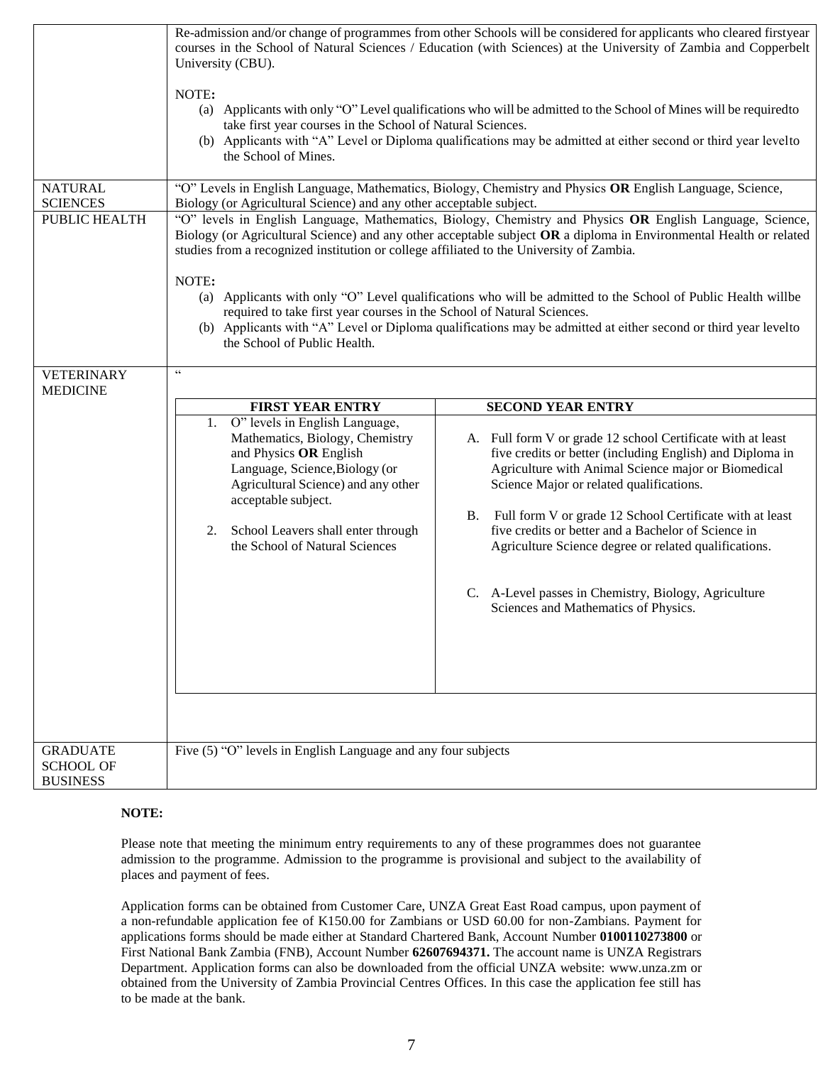|                                                        | Re-admission and/or change of programmes from other Schools will be considered for applicants who cleared firstyear<br>courses in the School of Natural Sciences / Education (with Sciences) at the University of Zambia and Copperbelt<br>University (CBU).<br>NOTE:<br>(a) Applicants with only "O" Level qualifications who will be admitted to the School of Mines will be required to<br>take first year courses in the School of Natural Sciences.<br>(b) Applicants with "A" Level or Diploma qualifications may be admitted at either second or third year levelto<br>the School of Mines.                                                                                                                                                                                                                                                                   |                                                                                                                                                                                                                                                                                                                                                                                                                                                                                                                                        |  |  |
|--------------------------------------------------------|----------------------------------------------------------------------------------------------------------------------------------------------------------------------------------------------------------------------------------------------------------------------------------------------------------------------------------------------------------------------------------------------------------------------------------------------------------------------------------------------------------------------------------------------------------------------------------------------------------------------------------------------------------------------------------------------------------------------------------------------------------------------------------------------------------------------------------------------------------------------|----------------------------------------------------------------------------------------------------------------------------------------------------------------------------------------------------------------------------------------------------------------------------------------------------------------------------------------------------------------------------------------------------------------------------------------------------------------------------------------------------------------------------------------|--|--|
| <b>NATURAL</b><br><b>SCIENCES</b><br>PUBLIC HEALTH     | "O" Levels in English Language, Mathematics, Biology, Chemistry and Physics OR English Language, Science,<br>Biology (or Agricultural Science) and any other acceptable subject.<br>"O" levels in English Language, Mathematics, Biology, Chemistry and Physics OR English Language, Science,<br>Biology (or Agricultural Science) and any other acceptable subject OR a diploma in Environmental Health or related<br>studies from a recognized institution or college affiliated to the University of Zambia.<br>NOTE:<br>(a) Applicants with only "O" Level qualifications who will be admitted to the School of Public Health willbe<br>required to take first year courses in the School of Natural Sciences.<br>(b) Applicants with "A" Level or Diploma qualifications may be admitted at either second or third year levelto<br>the School of Public Health. |                                                                                                                                                                                                                                                                                                                                                                                                                                                                                                                                        |  |  |
| <b>VETERINARY</b><br><b>MEDICINE</b>                   | $\zeta\,\zeta$<br><b>FIRST YEAR ENTRY</b><br>O" levels in English Language,<br>1.<br>Mathematics, Biology, Chemistry<br>and Physics OR English<br>Language, Science, Biology (or<br>Agricultural Science) and any other<br>acceptable subject.<br>2. School Leavers shall enter through<br>the School of Natural Sciences                                                                                                                                                                                                                                                                                                                                                                                                                                                                                                                                            | <b>SECOND YEAR ENTRY</b><br>A. Full form V or grade 12 school Certificate with at least<br>five credits or better (including English) and Diploma in<br>Agriculture with Animal Science major or Biomedical<br>Science Major or related qualifications.<br>B. Full form V or grade 12 School Certificate with at least<br>five credits or better and a Bachelor of Science in<br>Agriculture Science degree or related qualifications.<br>C. A-Level passes in Chemistry, Biology, Agriculture<br>Sciences and Mathematics of Physics. |  |  |
| <b>GRADUATE</b><br><b>SCHOOL OF</b><br><b>BUSINESS</b> | Five (5) "O" levels in English Language and any four subjects                                                                                                                                                                                                                                                                                                                                                                                                                                                                                                                                                                                                                                                                                                                                                                                                        |                                                                                                                                                                                                                                                                                                                                                                                                                                                                                                                                        |  |  |

## **NOTE:**

Please note that meeting the minimum entry requirements to any of these programmes does not guarantee admission to the programme. Admission to the programme is provisional and subject to the availability of places and payment of fees.

Application forms can be obtained from Customer Care, UNZA Great East Road campus, upon payment of a non-refundable application fee of K150.00 for Zambians or USD 60.00 for non-Zambians. Payment for applications forms should be made either at Standard Chartered Bank, Account Number **0100110273800** or First National Bank Zambia (FNB), Account Number **62607694371.** The account name is UNZA Registrars Department. Application forms can also be downloaded from the official UNZA website: [www.unza.zm o](http://www.unza.zm/)r obtained from the University of Zambia Provincial Centres Offices. In this case the application fee still has to be made at the bank.